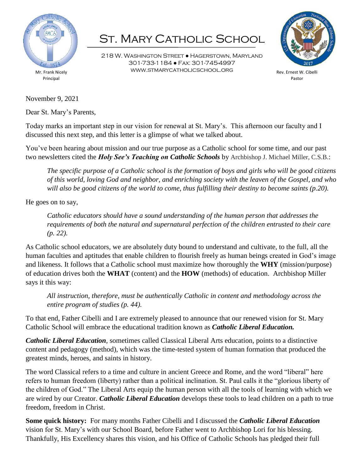

## ST. MARY CATHOLIC SCHOOL

218 W. Washington Street ● Hagerstown, Maryland 301-733-1184 ● Fax: 301-745-4997 www.stmarycatholicschool.org



Rev. Ernest W. Cibelli Pastor

November 9, 2021

Dear St. Mary's Parents,

Today marks an important step in our vision for renewal at St. Mary's. This afternoon our faculty and I discussed this next step, and this letter is a glimpse of what we talked about.

You've been hearing about mission and our true purpose as a Catholic school for some time, and our past two newsletters cited the *Holy See's Teaching on Catholic Schools* by Archbishop J. Michael Miller, C.S.B.:

*The specific purpose of a Catholic school is the formation of boys and girls who will be good citizens of this world, loving God and neighbor, and enriching society with the leaven of the Gospel, and who will also be good citizens of the world to come, thus fulfilling their destiny to become saints (p.20).*

He goes on to say,

*Catholic educators should have a sound understanding of the human person that addresses the requirements of both the natural and supernatural perfection of the children entrusted to their care (p. 22).*

As Catholic school educators, we are absolutely duty bound to understand and cultivate, to the full, all the human faculties and aptitudes that enable children to flourish freely as human beings created in God's image and likeness. It follows that a Catholic school must maximize how thoroughly the **WHY** (mission/purpose) of education drives both the **WHAT** (content) and the **HOW** (methods) of education. Archbishop Miller says it this way:

*All instruction, therefore, must be authentically Catholic in content and methodology across the entire program of studies (p. 44).*

To that end, Father Cibelli and I are extremely pleased to announce that our renewed vision for St. Mary Catholic School will embrace the educational tradition known as *Catholic Liberal Education.*

*Catholic Liberal Education*, sometimes called Classical Liberal Arts education, points to a distinctive content and pedagogy (method), which was the time-tested system of human formation that produced the greatest minds, heroes, and saints in history.

The word Classical refers to a time and culture in ancient Greece and Rome, and the word "liberal" here refers to human freedom (liberty) rather than a political inclination. St. Paul calls it the "glorious liberty of the children of God." The Liberal Arts equip the human person with all the tools of learning with which we are wired by our Creator. *Catholic Liberal Education* develops these tools to lead children on a path to true freedom, freedom in Christ.

**Some quick history:** For many months Father Cibelli and I discussed the *Catholic Liberal Education* vision for St. Mary's with our School Board, before Father went to Archbishop Lori for his blessing. Thankfully, His Excellency shares this vision, and his Office of Catholic Schools has pledged their full